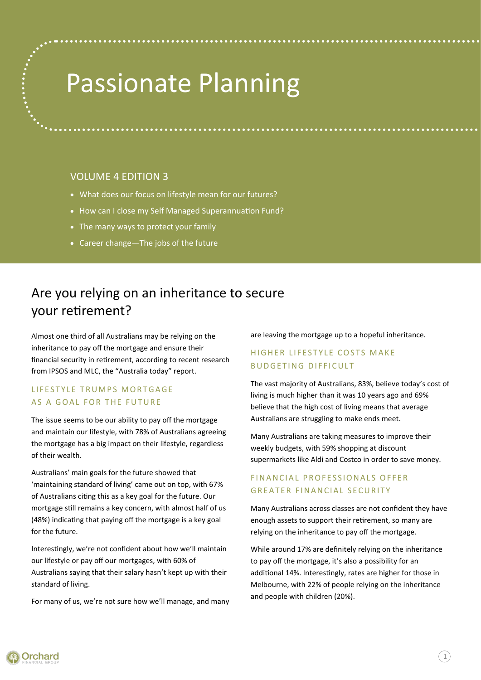# Passionate Planning

# VOLUME 4 EDITION 3

- What does our focus on lifestyle mean for our futures?
- How can I close my Self Managed Superannuation Fund?
- The many ways to protect your family
- Career change—The jobs of the future

# Are you relying on an inheritance to secure your retirement?

Almost one third of all Australians may be relying on the inheritance to pay off the mortgage and ensure their financial security in retirement, according to recent research from IPSOS and MLC, the "Australia today" report.

# LIFESTYLE TRUMPS MORTGAGE AS A GOAL FOR THE FUTURE

The issue seems to be our ability to pay off the mortgage and maintain our lifestyle, with 78% of Australians agreeing the mortgage has a big impact on their lifestyle, regardless of their wealth.

Australians' main goals for the future showed that 'maintaining standard of living' came out on top, with 67% of Australians citing this as a key goal for the future. Our mortgage still remains a key concern, with almost half of us (48%) indicating that paying off the mortgage is a key goal for the future.

Interestingly, we're not confident about how we'll maintain our lifestyle or pay off our mortgages, with 60% of Australians saying that their salary hasn't kept up with their standard of living.

For many of us, we're not sure how we'll manage, and many

are leaving the mortgage up to a hopeful inheritance.

# HIGHER LIFESTYLE COSTS MAKE BUDGETING DIFFICULT

The vast majority of Australians, 83%, believe today's cost of living is much higher than it was 10 years ago and 69% believe that the high cost of living means that average Australians are struggling to make ends meet.

Many Australians are taking measures to improve their weekly budgets, with 59% shopping at discount supermarkets like Aldi and Costco in order to save money.

# FINANCIAL PROFESSIONALS OFFER GREATER FINANCIAL SECURITY

Many Australians across classes are not confident they have enough assets to support their retirement, so many are relying on the inheritance to pay off the mortgage.

While around 17% are definitely relying on the inheritance to pay off the mortgage, it's also a possibility for an additional 14%. Interestingly, rates are higher for those in Melbourne, with 22% of people relying on the inheritance and people with children (20%).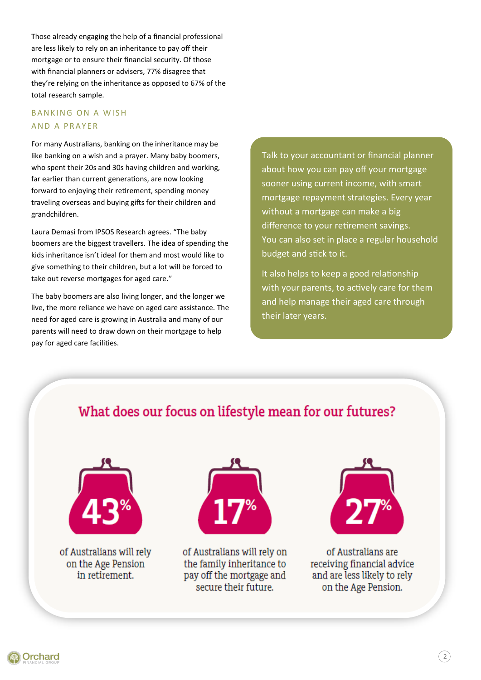Those already engaging the help of a financial professional are less likely to rely on an inheritance to pay off their mortgage or to ensure their financial security. Of those with financial planners or advisers, 77% disagree that they're relying on the inheritance as opposed to 67% of the total research sample.

# **BANKING ON A WISH** AND A PRAYER

For many Australians, banking on the inheritance may be like banking on a wish and a prayer. Many baby boomers, who spent their 20s and 30s having children and working, far earlier than current generations, are now looking forward to enjoying their retirement, spending money traveling overseas and buying gifts for their children and grandchildren.

Laura Demasi from IPSOS Research agrees. "The baby boomers are the biggest travellers. The idea of spending the kids inheritance isn't ideal for them and most would like to give something to their children, but a lot will be forced to take out reverse mortgages for aged care."

The baby boomers are also living longer, and the longer we live, the more reliance we have on aged care assistance. The need for aged care is growing in Australia and many of our parents will need to draw down on their mortgage to help pay for aged care facilities.

Talk to your accountant or financial planner about how you can pay off your mortgage sooner using current income, with smart mortgage repayment strategies. Every year without a mortgage can make a big difference to your retirement savings. You can also set in place a regular household budget and stick to it.

It also helps to keep a good relationship with your parents, to actively care for them and help manage their aged care through their later years.

# What does our focus on lifestyle mean for our futures?



of Australians will rely on the Age Pension in retirement.



of Australians will rely on the family inheritance to pay off the mortgage and secure their future.



of Australians are receiving financial advice and are less likely to rely on the Age Pension.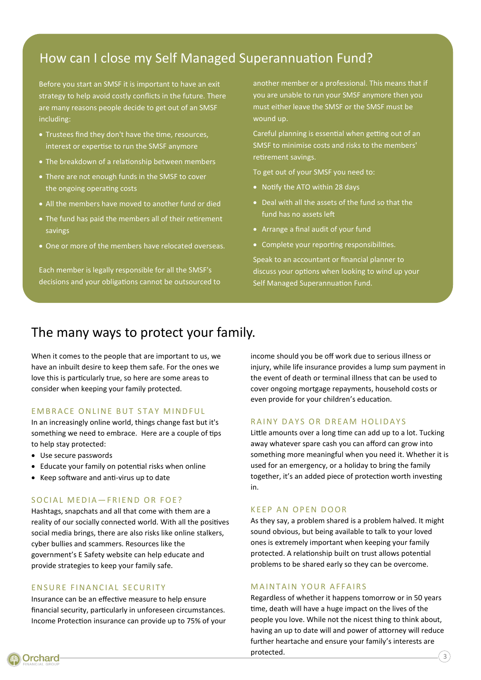# How can I close my Self Managed Superannuation Fund?

Before you start an SMSF it is important to have an exit strategy to help avoid costly conflicts in the future. There are many reasons people decide to get out of an SMSF including:

- Trustees find they don't have the time, resources, interest or expertise to run the SMSF anymore
- The breakdown of a relationship between members
- There are not enough funds in the SMSF to cover the ongoing operating costs
- All the members have moved to another fund or died
- The fund has paid the members all of their retirement savings
- One or more of the members have relocated overseas.

Each member is legally responsible for all the SMSF's decisions and your obligations cannot be outsourced to another member or a professional. This means that if you are unable to run your SMSF anymore then you must either leave the SMSF or the SMSF must be wound up.

Careful planning is essential when getting out of an SMSF to minimise costs and risks to the members' retirement savings.

To get out of your SMSF you need to:

- Notify the ATO within 28 days
- Deal with all the assets of the fund so that the fund has no assets left
- Arrange a final audit of your fund
- Complete your reporting responsibilities.

Speak to an accountant or financial planner to discuss your options when looking to wind up your Self Managed Superannuation Fund.

# The many ways to protect your family.

When it comes to the people that are important to us, we have an inbuilt desire to keep them safe. For the ones we love this is particularly true, so here are some areas to consider when keeping your family protected.

# EMBRACE ONLINE BUT STAY MINDFUL

In an increasingly online world, things change fast but it's something we need to embrace. Here are a couple of tips to help stay protected:

- Use secure passwords
- Educate your family on potential risks when online
- Keep software and anti-virus up to date

### SOCIAL MEDIA-FRIEND OR FOE?

Hashtags, snapchats and all that come with them are a reality of our socially connected world. With all the positives social media brings, there are also risks like online stalkers, cyber bullies and scammers. Resources like the government's E Safety website can help educate and provide strategies to keep your family safe.

#### ENSURE FINANCIAL SECURITY

Insurance can be an effective measure to help ensure financial security, particularly in unforeseen circumstances. Income Protection insurance can provide up to 75% of your income should you be off work due to serious illness or injury, while life insurance provides a lump sum payment in the event of death or terminal illness that can be used to cover ongoing mortgage repayments, household costs or even provide for your children's education.

#### RAINY DAYS OR DREAM HOLIDAYS

Little amounts over a long time can add up to a lot. Tucking away whatever spare cash you can afford can grow into something more meaningful when you need it. Whether it is used for an emergency, or a holiday to bring the family together, it's an added piece of protection worth investing in.

#### K E E PAN OP EN DOOR

As they say, a problem shared is a problem halved. It might sound obvious, but being available to talk to your loved ones is extremely important when keeping your family protected. A relationship built on trust allows potential problems to be shared early so they can be overcome.

#### **MAINTAIN YOUR AFFAIRS**

Regardless of whether it happens tomorrow or in 50 years time, death will have a huge impact on the lives of the people you love. While not the nicest thing to think about, having an up to date will and power of attorney will reduce further heartache and ensure your family's interests are protected.